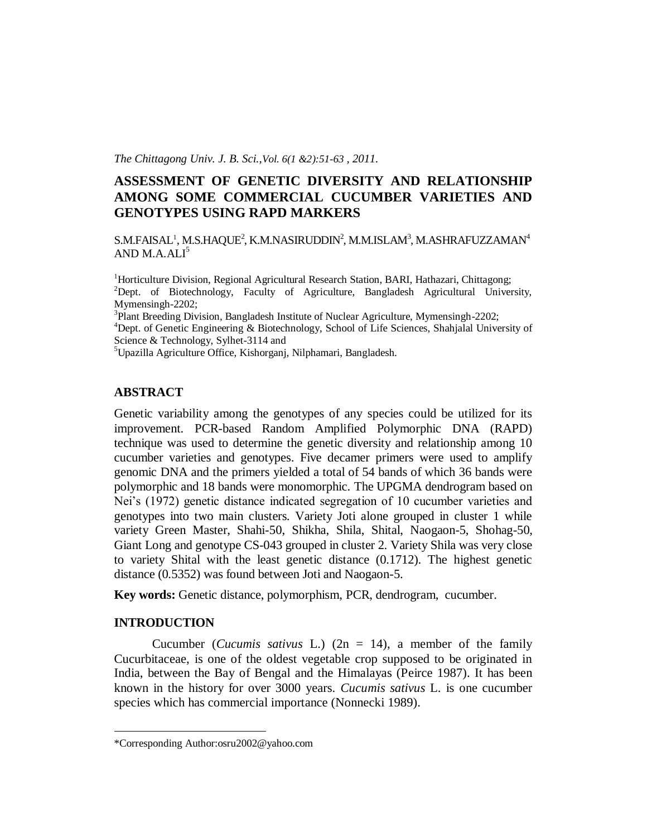*The Chittagong Univ. J. B. Sci.,Vol. 6(1 &2):51-63 , 2011.*

# **ASSESSMENT OF GENETIC DIVERSITY AND RELATIONSHIP AMONG SOME COMMERCIAL CUCUMBER VARIETIES AND GENOTYPES USING RAPD MARKERS**

 $\text{S.M.FAISAL}^1, \text{M.S.HAQUE}^2, \text{K.M.NASIRUDDIN}^2, \text{M.M.ISLAM}^3, \text{M.ASHRAFUZZAMAN}^4$ AND  $M.A.ALI<sup>5</sup>$ 

<sup>1</sup>Horticulture Division, Regional Agricultural Research Station, BARI, Hathazari, Chittagong; <sup>2</sup>Dept. of Biotechnology, Faculty of Agriculture, Bangladesh Agricultural University, Mymensingh-2202;

<sup>3</sup>Plant Breeding Division, Bangladesh Institute of Nuclear Agriculture, Mymensingh-2202;

<sup>4</sup>Dept. of Genetic Engineering & Biotechnology, School of Life Sciences, Shahjalal University of Science & Technology, Sylhet-3114 and

<sup>5</sup>Upazilla Agriculture Office, Kishorganj, Nilphamari, Bangladesh.

### **ABSTRACT**

Genetic variability among the genotypes of any species could be utilized for its improvement. PCR-based Random Amplified Polymorphic DNA (RAPD) technique was used to determine the genetic diversity and relationship among 10 cucumber varieties and genotypes. Five decamer primers were used to amplify genomic DNA and the primers yielded a total of 54 bands of which 36 bands were polymorphic and 18 bands were monomorphic. The UPGMA dendrogram based on Nei's (1972) genetic distance indicated segregation of 10 cucumber varieties and genotypes into two main clusters. Variety Joti alone grouped in cluster 1 while variety Green Master, Shahi-50, Shikha, Shila, Shital, Naogaon-5, Shohag-50, Giant Long and genotype CS-043 grouped in cluster 2. Variety Shila was very close to variety Shital with the least genetic distance (0.1712). The highest genetic distance (0.5352) was found between Joti and Naogaon-5.

**Key words:** Genetic distance, polymorphism, PCR, dendrogram, cucumber.

### **INTRODUCTION**

 $\overline{a}$ 

Cucumber (*Cucumis sativus* L.) (2n = 14), a member of the family Cucurbitaceae, is one of the oldest vegetable crop supposed to be originated in India, between the Bay of Bengal and the Himalayas (Peirce 1987). It has been known in the history for over 3000 years. *Cucumis sativus* L. is one cucumber species which has commercial importance (Nonnecki 1989).

<sup>\*</sup>Corresponding Author:osru2002@yahoo.com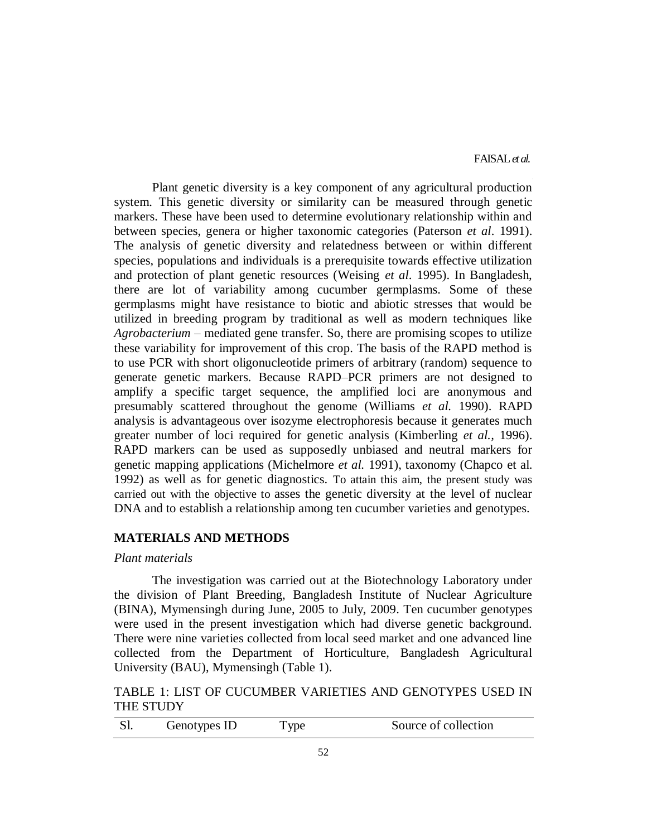FAISAL*et al.*

Plant genetic diversity is a key component of any agricultural production system. This genetic diversity or similarity can be measured through genetic markers. These have been used to determine evolutionary relationship within and between species, genera or higher taxonomic categories (Paterson *et al*. 1991). The analysis of genetic diversity and relatedness between or within different species, populations and individuals is a prerequisite towards effective utilization and protection of plant genetic resources (Weising *et al*. 1995). In Bangladesh, there are lot of variability among cucumber germplasms. Some of these germplasms might have resistance to biotic and abiotic stresses that would be utilized in breeding program by traditional as well as modern techniques like *Agrobacterium* – mediated gene transfer. So, there are promising scopes to utilize these variability for improvement of this crop. The basis of the RAPD method is to use PCR with short oligonucleotide primers of arbitrary (random) sequence to generate genetic markers. Because RAPD–PCR primers are not designed to amplify a specific target sequence, the amplified loci are anonymous and presumably scattered throughout the genome (Williams *et al.* 1990). RAPD analysis is advantageous over isozyme electrophoresis because it generates much greater number of loci required for genetic analysis (Kimberling *et al.,* 1996). RAPD markers can be used as supposedly unbiased and neutral markers for genetic mapping applications (Michelmore *et al.* 1991), taxonomy (Chapco et al. 1992) as well as for genetic diagnostics. To attain this aim, the present study was carried out with the objective to asses the genetic diversity at the level of nuclear DNA and to establish a relationship among ten cucumber varieties and genotypes.

## **MATERIALS AND METHODS**

### *Plant materials*

The investigation was carried out at the Biotechnology Laboratory under the division of Plant Breeding, Bangladesh Institute of Nuclear Agriculture (BINA), Mymensingh during June, 2005 to July, 2009. Ten cucumber genotypes were used in the present investigation which had diverse genetic background. There were nine varieties collected from local seed market and one advanced line collected from the Department of Horticulture, Bangladesh Agricultural University (BAU), Mymensingh (Table 1).

## TABLE 1: LIST OF CUCUMBER VARIETIES AND GENOTYPES USED IN THE STUDY

| Source of collection<br>Genotypes ID<br>I vpe |  |
|-----------------------------------------------|--|
|-----------------------------------------------|--|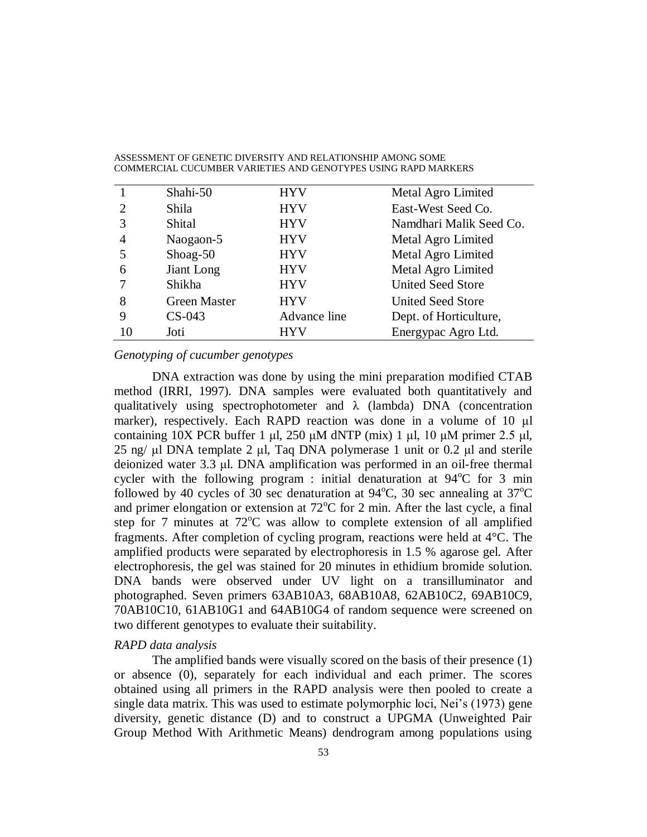|    | Shahi-50            | <b>HYV</b>   | Metal Agro Limited       |
|----|---------------------|--------------|--------------------------|
| 2  | Shila               | <b>HYV</b>   | East-West Seed Co.       |
|    | Shital              | <b>HYV</b>   | Namdhari Malik Seed Co.  |
|    | Naogaon-5           | <b>HYV</b>   | Metal Agro Limited       |
|    | Shoag-50            | <b>HYV</b>   | Metal Agro Limited       |
| 6  | Jiant Long          | <b>HYV</b>   | Metal Agro Limited       |
|    | Shikha              | <b>HYV</b>   | <b>United Seed Store</b> |
| 8  | <b>Green Master</b> | <b>HYV</b>   | United Seed Store        |
| 9  | $CS-043$            | Advance line | Dept. of Horticulture,   |
| 10 | Joti                | HYV          | Energypac Agro Ltd.      |
|    |                     |              |                          |

### *Genotyping of cucumber genotypes*

DNA extraction was done by using the mini preparation modified CTAB method (IRRI, 1997). DNA samples were evaluated both quantitatively and qualitatively using spectrophotometer and  $\lambda$  (lambda) DNA (concentration marker), respectively. Each RAPD reaction was done in a volume of 10 μl containing  $10X$  PCR buffer 1 μl,  $250 \mu M$  dNTP (mix) 1 μl,  $10 \mu M$  primer  $2.5 \mu I$ , 25 ng/ μl DNA template 2 μl, Taq DNA polymerase 1 unit or 0.2 μl and sterile deionized water 3.3 μl. DNA amplification was performed in an oil-free thermal cycler with the following program : initial denaturation at  $94^{\circ}$ C for 3 min followed by 40 cycles of 30 sec denaturation at  $94^{\circ}$ C, 30 sec annealing at  $37^{\circ}$ C and primer elongation or extension at  $72^{\circ}$ C for 2 min. After the last cycle, a final step for 7 minutes at  $72^{\circ}$ C was allow to complete extension of all amplified fragments. After completion of cycling program, reactions were held at 4°C. The amplified products were separated by electrophoresis in 1.5 % agarose gel. After electrophoresis, the gel was stained for 20 minutes in ethidium bromide solution. DNA bands were observed under UV light on a transilluminator and photographed. Seven primers 63AB10A3, 68AB10A8, 62AB10C2, 69AB10C9, 70AB10C10, 61AB10G1 and 64AB10G4 of random sequence were screened on two different genotypes to evaluate their suitability.

### *RAPD data analysis*

The amplified bands were visually scored on the basis of their presence (1) or absence (0), separately for each individual and each primer. The scores obtained using all primers in the RAPD analysis were then pooled to create a single data matrix. This was used to estimate polymorphic loci, Nei's (1973) gene diversity, genetic distance (D) and to construct a UPGMA (Unweighted Pair Group Method With Arithmetic Means) dendrogram among populations using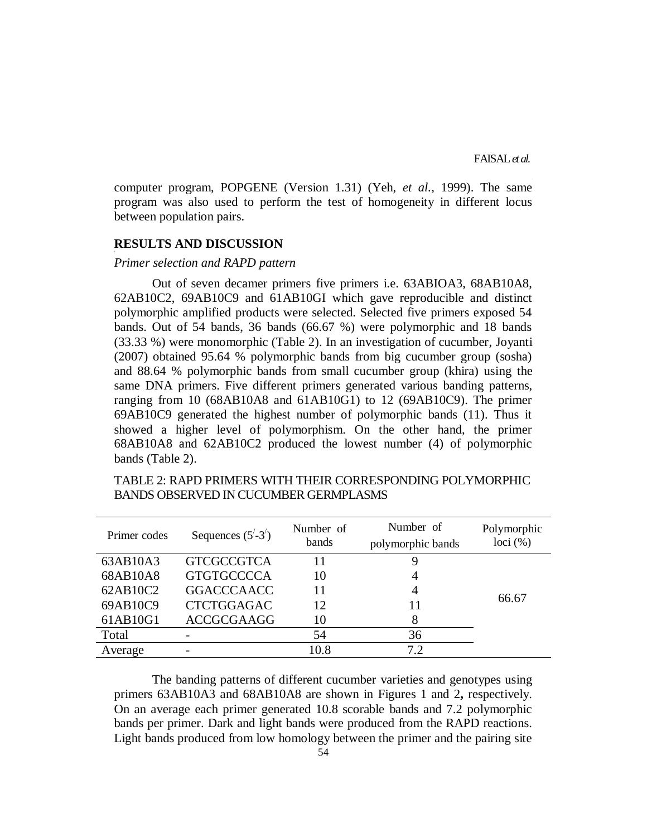computer program, POPGENE (Version 1.31) (Yeh, *et al.,* 1999). The same program was also used to perform the test of homogeneity in different locus between population pairs.

### **RESULTS AND DISCUSSION**

#### *Primer selection and RAPD pattern*

Out of seven decamer primers five primers i.e. 63ABIOA3, 68AB10A8, 62AB10C2, 69AB10C9 and 61AB10GI which gave reproducible and distinct polymorphic amplified products were selected. Selected five primers exposed 54 bands. Out of 54 bands, 36 bands (66.67 %) were polymorphic and 18 bands (33.33 %) were monomorphic (Table 2). In an investigation of cucumber, Joyanti (2007) obtained 95.64 % polymorphic bands from big cucumber group (sosha) and 88.64 % polymorphic bands from small cucumber group (khira) using the same DNA primers. Five different primers generated various banding patterns, ranging from 10 (68AB10A8 and 61AB10G1) to 12 (69AB10C9). The primer 69AB10C9 generated the highest number of polymorphic bands (11). Thus it showed a higher level of polymorphism. On the other hand, the primer 68AB10A8 and 62AB10C2 produced the lowest number (4) of polymorphic bands (Table 2).

| Primer codes | Sequences $(5^{\prime} - 3^{\prime})$ | Number of<br>bands | Number of<br>polymorphic bands | Polymorphic<br>$loci$ $(\%)$ |
|--------------|---------------------------------------|--------------------|--------------------------------|------------------------------|
| 63AB10A3     | <b>GTCGCCGTCA</b>                     |                    | Ϋ                              |                              |
| 68AB10A8     | <b>GTGTGCCCCA</b>                     | 10                 | 4                              |                              |
| 62AB10C2     | <b>GGACCCAACC</b>                     | 11                 | 4                              |                              |
| 69AB10C9     | <b>CTCTGGAGAC</b>                     | 12                 | 11                             | 66.67                        |
| 61AB10G1     | <b>ACCGCGAAGG</b>                     | 10                 | 8                              |                              |
| Total        |                                       | 54                 | 36                             |                              |
| Average      |                                       | 10.8               | 72                             |                              |

TABLE 2: RAPD PRIMERS WITH THEIR CORRESPONDING POLYMORPHIC BANDS OBSERVED IN CUCUMBER GERMPLASMS

The banding patterns of different cucumber varieties and genotypes using primers 63AB10A3 and 68AB10A8 are shown in Figures 1 and 2**,** respectively. On an average each primer generated 10.8 scorable bands and 7.2 polymorphic bands per primer. Dark and light bands were produced from the RAPD reactions. Light bands produced from low homology between the primer and the pairing site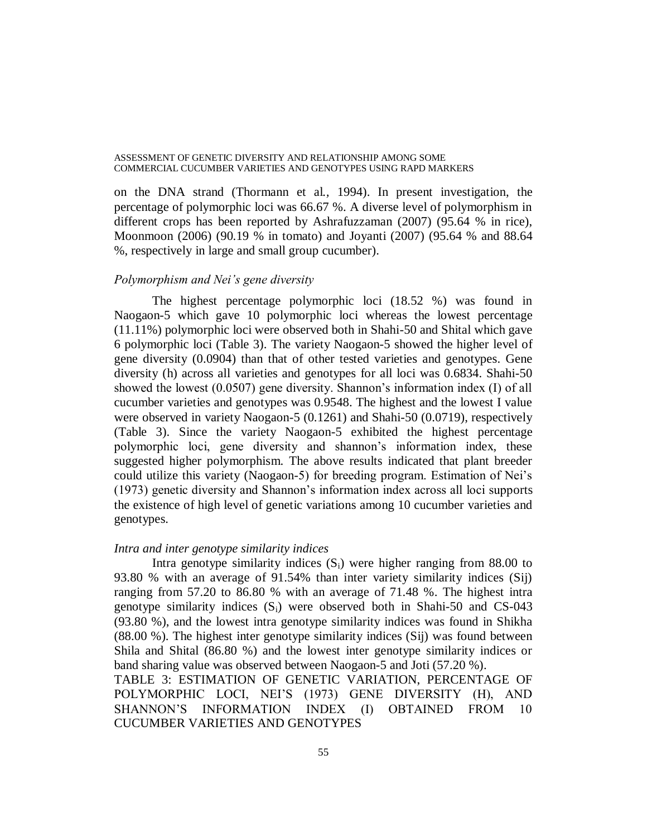on the DNA strand (Thormann et al*.,* 1994). In present investigation, the percentage of polymorphic loci was 66.67 %. A diverse level of polymorphism in different crops has been reported by Ashrafuzzaman (2007) (95.64 % in rice), Moonmoon (2006) (90.19 % in tomato) and Joyanti (2007) (95.64 % and 88.64 %, respectively in large and small group cucumber).

### *Polymorphism and Nei's gene diversity*

The highest percentage polymorphic loci (18.52 %) was found in Naogaon-5 which gave 10 polymorphic loci whereas the lowest percentage (11.11%) polymorphic loci were observed both in Shahi-50 and Shital which gave 6 polymorphic loci (Table 3). The variety Naogaon-5 showed the higher level of gene diversity (0.0904) than that of other tested varieties and genotypes. Gene diversity (h) across all varieties and genotypes for all loci was 0.6834. Shahi-50 showed the lowest (0.0507) gene diversity. Shannon's information index (I) of all cucumber varieties and genotypes was 0.9548. The highest and the lowest I value were observed in variety Naogaon-5 (0.1261) and Shahi-50 (0.0719), respectively (Table 3). Since the variety Naogaon-5 exhibited the highest percentage polymorphic loci, gene diversity and shannon's information index, these suggested higher polymorphism. The above results indicated that plant breeder could utilize this variety (Naogaon-5) for breeding program. Estimation of Nei's (1973) genetic diversity and Shannon's information index across all loci supports the existence of high level of genetic variations among 10 cucumber varieties and genotypes.

#### *Intra and inter genotype similarity indices*

CUCUMBER VARIETIES AND GENOTYPES

Intra genotype similarity indices  $(S_i)$  were higher ranging from 88.00 to 93.80 % with an average of 91.54% than inter variety similarity indices (Sij) ranging from 57.20 to 86.80 % with an average of 71.48 %. The highest intra genotype similarity indices  $(S_i)$  were observed both in Shahi-50 and CS-043 (93.80 %), and the lowest intra genotype similarity indices was found in Shikha (88.00 %). The highest inter genotype similarity indices (Sij) was found between Shila and Shital (86.80 %) and the lowest inter genotype similarity indices or band sharing value was observed between Naogaon-5 and Joti (57.20 %). TABLE 3: ESTIMATION OF GENETIC VARIATION, PERCENTAGE OF POLYMORPHIC LOCI, NEI'S (1973) GENE DIVERSITY (H), AND SHANNON'S INFORMATION INDEX (I) OBTAINED FROM 10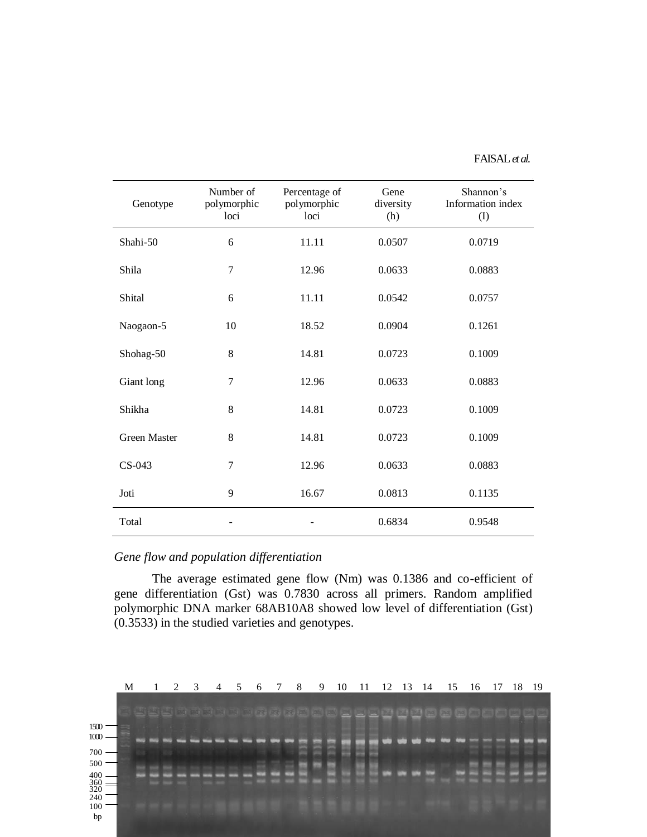## FAISAL*et al.*

| Genotype            | Number of<br>polymorphic<br>loci | Percentage of<br>polymorphic<br>loci | Gene<br>diversity<br>(h) | Shannon's<br>Information index<br>(I) |
|---------------------|----------------------------------|--------------------------------------|--------------------------|---------------------------------------|
| Shahi-50            | 6                                | 11.11                                | 0.0507                   | 0.0719                                |
| Shila               | 7                                | 12.96                                | 0.0633                   | 0.0883                                |
| Shital              | 6                                | 11.11                                | 0.0542                   | 0.0757                                |
| Naogaon-5           | 10                               | 18.52                                | 0.0904                   | 0.1261                                |
| Shohag-50           | 8                                | 14.81                                | 0.0723                   | 0.1009                                |
| Giant long          | 7                                | 12.96                                | 0.0633                   | 0.0883                                |
| Shikha              | 8                                | 14.81                                | 0.0723                   | 0.1009                                |
| <b>Green Master</b> | 8                                | 14.81                                | 0.0723                   | 0.1009                                |
| CS-043              | $\overline{7}$                   | 12.96                                | 0.0633                   | 0.0883                                |
| Joti                | 9                                | 16.67                                | 0.0813                   | 0.1135                                |
| Total               |                                  |                                      | 0.6834                   | 0.9548                                |

## *Gene flow and population differentiation*

The average estimated gene flow (Nm) was 0.1386 and co-efficient of gene differentiation (Gst) was 0.7830 across all primers. Random amplified polymorphic DNA marker 68AB10A8 showed low level of differentiation (Gst) (0.3533) in the studied varieties and genotypes.

|                                                         | M | $\mathbf{1}$      | 2 | $\overline{3}$ | $\overline{4}$                          | 5 <sup>5</sup> | -6 | -7 | - 8 | 9 | 10 | -11 | 12 13 |  | -14 | 15 |              | 16       | -17 | 18 | -19 |
|---------------------------------------------------------|---|-------------------|---|----------------|-----------------------------------------|----------------|----|----|-----|---|----|-----|-------|--|-----|----|--------------|----------|-----|----|-----|
|                                                         |   |                   |   |                | <b>PA RA BAT BAT BAT DAT RE BET DET</b> |                |    |    |     |   |    |     |       |  |     |    |              | 24 24 28 |     |    |     |
| 1500                                                    |   |                   |   |                |                                         |                |    |    |     |   |    |     |       |  |     |    |              |          |     |    |     |
| $1000 -$                                                |   | <b>BAGE &amp;</b> |   |                |                                         |                |    |    |     |   |    |     |       |  |     |    | <b>COLOR</b> |          |     |    |     |
| 700                                                     |   |                   |   |                |                                         |                |    |    |     |   |    |     |       |  |     |    |              |          |     |    |     |
| 500                                                     |   |                   |   |                |                                         |                |    |    |     |   |    |     |       |  |     |    |              |          |     |    |     |
|                                                         |   |                   |   |                |                                         |                |    |    |     |   |    |     |       |  |     |    |              |          |     |    |     |
| $\begin{array}{c} 400 \\ 360 \\ 320 \\ 240 \end{array}$ |   |                   |   |                |                                         |                |    |    |     |   |    |     |       |  |     |    |              |          |     |    |     |
| 100                                                     |   |                   |   |                |                                         |                |    |    |     |   |    |     |       |  |     |    |              |          |     |    |     |
| bp                                                      |   |                   |   |                |                                         |                |    |    |     |   |    |     |       |  |     |    |              |          |     |    |     |
|                                                         |   |                   |   |                |                                         |                |    |    |     |   |    |     |       |  |     |    |              |          |     |    |     |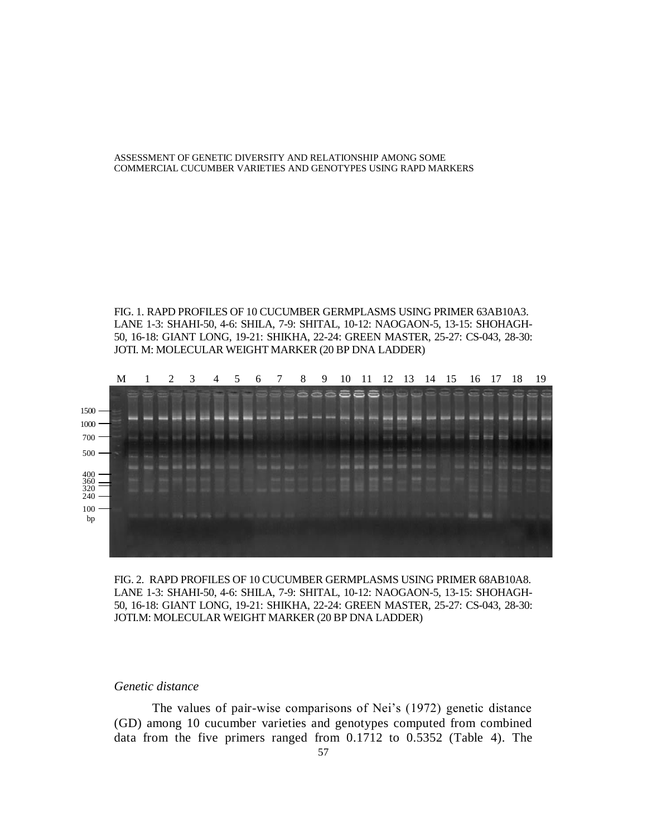FIG. 1. RAPD PROFILES OF 10 CUCUMBER GERMPLASMS USING PRIMER 63AB10A3. LANE 1-3: SHAHI-50, 4-6: SHILA, 7-9: SHITAL, 10-12: NAOGAON-5, 13-15: SHOHAGH-50, 16-18: GIANT LONG, 19-21: SHIKHA, 22-24: GREEN MASTER, 25-27: CS-043, 28-30: JOTI. M: MOLECULAR WEIGHT MARKER (20 BP DNA LADDER)



FIG. 2. RAPD PROFILES OF 10 CUCUMBER GERMPLASMS USING PRIMER 68AB10A8. LANE 1-3: SHAHI-50, 4-6: SHILA, 7-9: SHITAL, 10-12: NAOGAON-5, 13-15: SHOHAGH-50, 16-18: GIANT LONG, 19-21: SHIKHA, 22-24: GREEN MASTER, 25-27: CS-043, 28-30: JOTI.M: MOLECULAR WEIGHT MARKER (20 BP DNA LADDER)

#### *Genetic distance*

The values of pair-wise comparisons of Nei's (1972) genetic distance (GD) among 10 cucumber varieties and genotypes computed from combined data from the five primers ranged from 0.1712 to 0.5352 (Table 4). The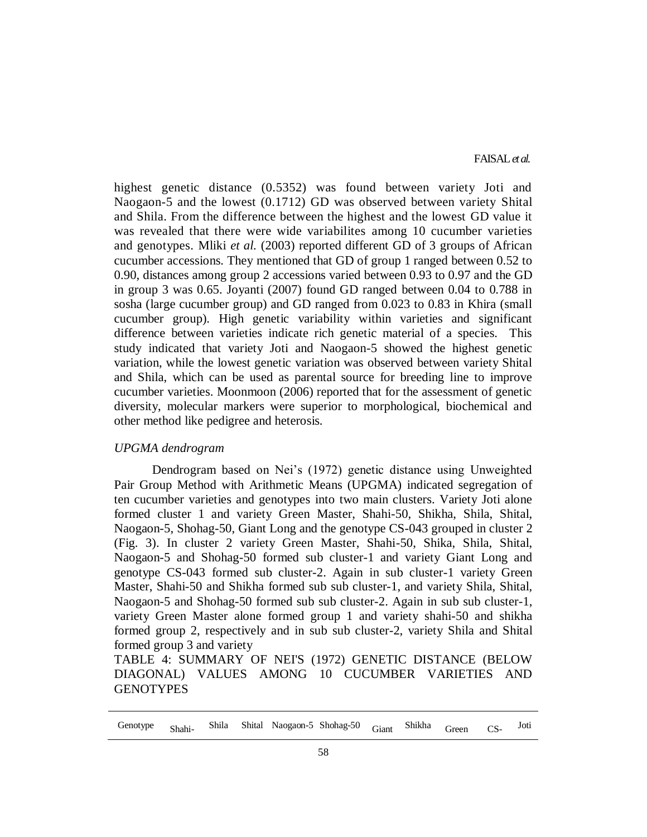highest genetic distance (0.5352) was found between variety Joti and Naogaon-5 and the lowest (0.1712) GD was observed between variety Shital and Shila. From the difference between the highest and the lowest GD value it was revealed that there were wide variabilites among 10 cucumber varieties and genotypes. Mliki *et al.* (2003) reported different GD of 3 groups of African cucumber accessions. They mentioned that GD of group 1 ranged between 0.52 to 0.90, distances among group 2 accessions varied between 0.93 to 0.97 and the GD in group 3 was 0.65. Joyanti (2007) found GD ranged between 0.04 to 0.788 in sosha (large cucumber group) and GD ranged from 0.023 to 0.83 in Khira (small cucumber group). High genetic variability within varieties and significant difference between varieties indicate rich genetic material of a species. This study indicated that variety Joti and Naogaon-5 showed the highest genetic variation, while the lowest genetic variation was observed between variety Shital and Shila, which can be used as parental source for breeding line to improve cucumber varieties. Moonmoon (2006) reported that for the assessment of genetic diversity, molecular markers were superior to morphological, biochemical and other method like pedigree and heterosis.

#### *UPGMA dendrogram*

Dendrogram based on Nei's (1972) genetic distance using Unweighted Pair Group Method with Arithmetic Means (UPGMA) indicated segregation of ten cucumber varieties and genotypes into two main clusters. Variety Joti alone formed cluster 1 and variety Green Master, Shahi-50, Shikha, Shila, Shital, Naogaon-5, Shohag-50, Giant Long and the genotype CS-043 grouped in cluster 2 (Fig. 3). In cluster 2 variety Green Master, Shahi-50, Shika, Shila, Shital, Naogaon-5 and Shohag-50 formed sub cluster-1 and variety Giant Long and genotype CS-043 formed sub cluster-2. Again in sub cluster-1 variety Green Master, Shahi-50 and Shikha formed sub sub cluster-1, and variety Shila, Shital, Naogaon-5 and Shohag-50 formed sub sub cluster-2. Again in sub sub cluster-1, variety Green Master alone formed group 1 and variety shahi-50 and shikha formed group 2, respectively and in sub sub cluster-2, variety Shila and Shital formed group 3 and variety

TABLE 4: SUMMARY OF NEI'S (1972) GENETIC DISTANCE (BELOW DIAGONAL) VALUES AMONG 10 CUCUMBER VARIETIES AND **GENOTYPES** 

| Genotype Shahi- |  |  |  |  | Shila Shital Naogaon-5 Shohag-50 <sub>Giant</sub> Shikha <sub>Green</sub> |  |  |  | $CS-$ | Joti |
|-----------------|--|--|--|--|---------------------------------------------------------------------------|--|--|--|-------|------|
|-----------------|--|--|--|--|---------------------------------------------------------------------------|--|--|--|-------|------|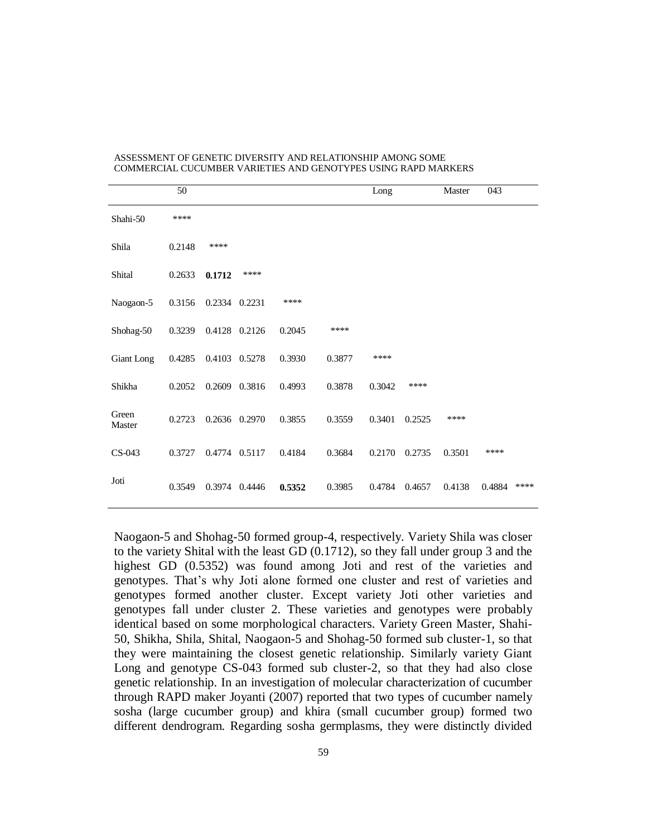|                 | 50     |               |               |        |        | Long   |        | Master | 043    |      |
|-----------------|--------|---------------|---------------|--------|--------|--------|--------|--------|--------|------|
| Shahi-50        | ****   |               |               |        |        |        |        |        |        |      |
| Shila           | 0.2148 | ****          |               |        |        |        |        |        |        |      |
| Shital          | 0.2633 | 0.1712        | ****          |        |        |        |        |        |        |      |
| Naogaon-5       | 0.3156 | 0.2334 0.2231 |               | ****   |        |        |        |        |        |      |
| Shohag-50       | 0.3239 | 0.4128 0.2126 |               | 0.2045 | ****   |        |        |        |        |      |
| Giant Long      | 0.4285 | 0.4103 0.5278 |               | 0.3930 | 0.3877 | ****   |        |        |        |      |
| Shikha          | 0.2052 |               | 0.2609 0.3816 | 0.4993 | 0.3878 | 0.3042 | ****   |        |        |      |
| Green<br>Master | 0.2723 |               | 0.2636 0.2970 | 0.3855 | 0.3559 | 0.3401 | 0.2525 | ****   |        |      |
| CS-043          | 0.3727 | 0.4774 0.5117 |               | 0.4184 | 0.3684 | 0.2170 | 0.2735 | 0.3501 | ****   |      |
| Joti            | 0.3549 | 0.3974 0.4446 |               | 0.5352 | 0.3985 | 0.4784 | 0.4657 | 0.4138 | 0.4884 | **** |

Naogaon-5 and Shohag-50 formed group-4, respectively. Variety Shila was closer to the variety Shital with the least GD (0.1712), so they fall under group 3 and the highest GD (0.5352) was found among Joti and rest of the varieties and genotypes. That's why Joti alone formed one cluster and rest of varieties and genotypes formed another cluster. Except variety Joti other varieties and genotypes fall under cluster 2. These varieties and genotypes were probably identical based on some morphological characters. Variety Green Master, Shahi-50, Shikha, Shila, Shital, Naogaon-5 and Shohag-50 formed sub cluster-1, so that they were maintaining the closest genetic relationship. Similarly variety Giant Long and genotype CS-043 formed sub cluster-2, so that they had also close genetic relationship. In an investigation of molecular characterization of cucumber through RAPD maker Joyanti (2007) reported that two types of cucumber namely sosha (large cucumber group) and khira (small cucumber group) formed two different dendrogram. Regarding sosha germplasms, they were distinctly divided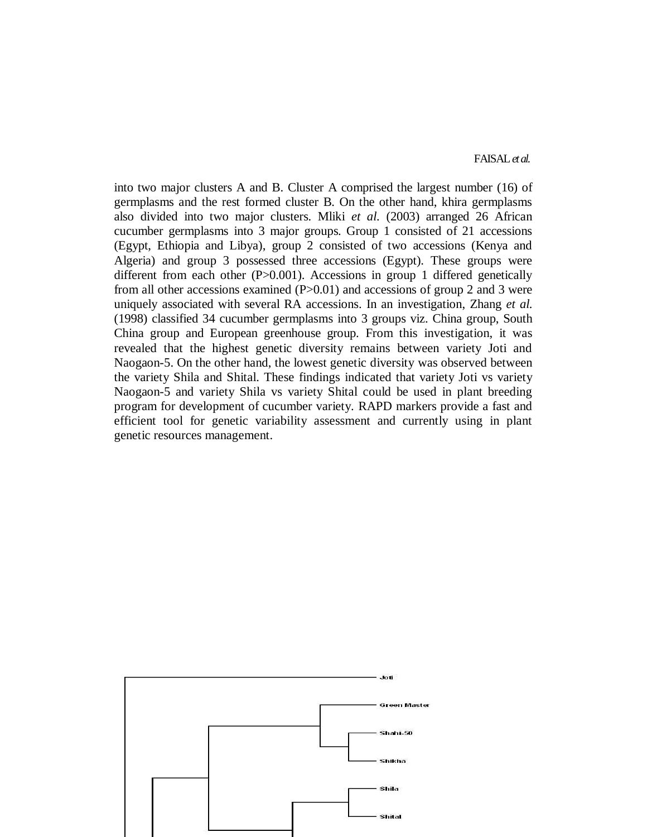FAISAL*et al.*

into two major clusters A and B. Cluster A comprised the largest number (16) of germplasms and the rest formed cluster B. On the other hand, khira germplasms also divided into two major clusters. Mliki *et al.* (2003) arranged 26 African cucumber germplasms into 3 major groups. Group 1 consisted of 21 accessions (Egypt, Ethiopia and Libya), group 2 consisted of two accessions (Kenya and Algeria) and group 3 possessed three accessions (Egypt). These groups were different from each other (P>0.001). Accessions in group 1 differed genetically from all other accessions examined  $(P>0.01)$  and accessions of group 2 and 3 were uniquely associated with several RA accessions. In an investigation, Zhang *et al.* (1998) classified 34 cucumber germplasms into 3 groups viz. China group, South China group and European greenhouse group. From this investigation, it was revealed that the highest genetic diversity remains between variety Joti and Naogaon-5. On the other hand, the lowest genetic diversity was observed between the variety Shila and Shital. These findings indicated that variety Joti vs variety Naogaon-5 and variety Shila vs variety Shital could be used in plant breeding program for development of cucumber variety. RAPD markers provide a fast and efficient tool for genetic variability assessment and currently using in plant genetic resources management.

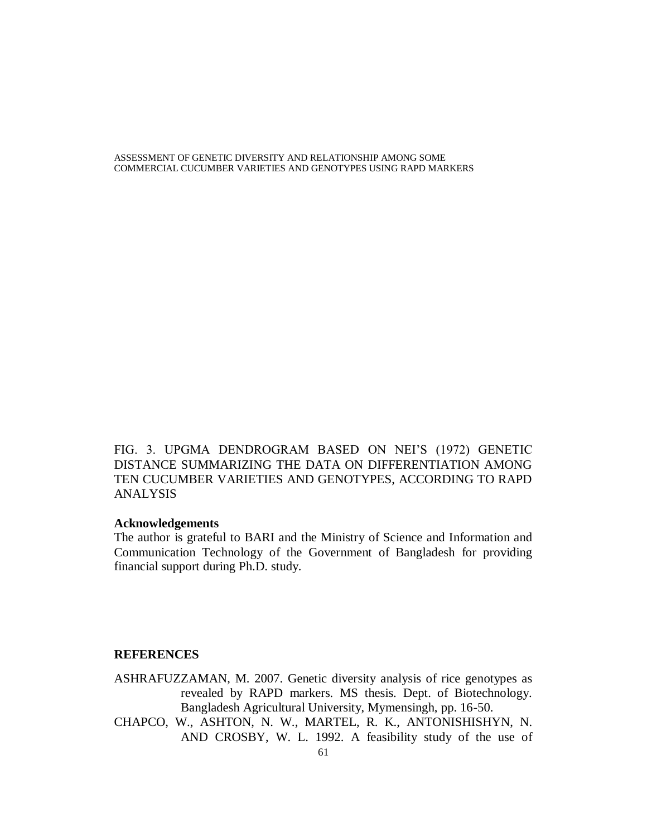FIG. 3. UPGMA DENDROGRAM BASED ON NEI'S (1972) GENETIC DISTANCE SUMMARIZING THE DATA ON DIFFERENTIATION AMONG TEN CUCUMBER VARIETIES AND GENOTYPES, ACCORDING TO RAPD ANALYSIS

# **Acknowledgements**

The author is grateful to BARI and the Ministry of Science and Information and Communication Technology of the Government of Bangladesh for providing financial support during Ph.D. study.

### **REFERENCES**

ASHRAFUZZAMAN, M. 2007. Genetic diversity analysis of rice genotypes as revealed by RAPD markers. MS thesis. Dept. of Biotechnology. Bangladesh Agricultural University, Mymensingh, pp. 16-50.

CHAPCO, W., ASHTON, N. W., MARTEL, R. K., ANTONISHISHYN, N. AND CROSBY, W. L. 1992. A feasibility study of the use of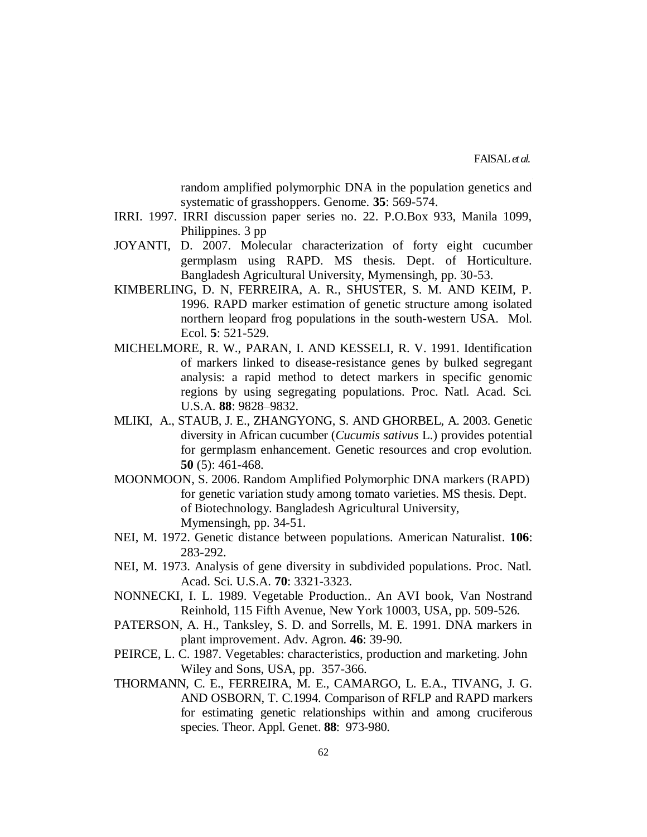random amplified polymorphic DNA in the population genetics and systematic of grasshoppers. Genome. **35**: 569-574.

- IRRI. 1997. IRRI discussion paper series no. 22. P.O.Box 933, Manila 1099, Philippines. 3 pp
- JOYANTI, D. 2007. Molecular characterization of forty eight cucumber germplasm using RAPD. MS thesis. Dept. of Horticulture. Bangladesh Agricultural University, Mymensingh, pp. 30-53.
- KIMBERLING, D. N, FERREIRA, A. R., SHUSTER, S. M. AND KEIM, P. 1996. RAPD marker estimation of genetic structure among isolated northern leopard frog populations in the south-western USA. Mol. Ecol. **5**: 521-529.
- MICHELMORE, R. W., PARAN, I. AND KESSELI, R. V. 1991. Identification of markers linked to disease-resistance genes by bulked segregant analysis: a rapid method to detect markers in specific genomic regions by using segregating populations. Proc. Natl. Acad. Sci. U.S.A. **88**: 9828–9832.
- MLIKI, A., STAUB, J. E., ZHANGYONG, S. AND GHORBEL, A. 2003. Genetic diversity in African cucumber (*Cucumis sativus* L.) provides potential for germplasm enhancement. Genetic resources and crop evolution. **50** (5): 461-468.
- MOONMOON, S. 2006. Random Amplified Polymorphic DNA markers (RAPD) for genetic variation study among tomato varieties. MS thesis. Dept. of Biotechnology. Bangladesh Agricultural University, Mymensingh, pp. 34-51.
- NEI, M. 1972. Genetic distance between populations. American Naturalist. **106**: 283-292.
- NEI, M. 1973. Analysis of gene diversity in subdivided populations. Proc. Natl. Acad. Sci. U.S.A. **70**: 3321-3323.
- NONNECKI, I. L. 1989. Vegetable Production.. An AVI book, Van Nostrand Reinhold, 115 Fifth Avenue, New York 10003, USA, pp. 509-526.
- PATERSON, A. H., Tanksley, S. D. and Sorrells, M. E. 1991. DNA markers in plant improvement. Adv. Agron. **46**: 39-90.
- PEIRCE, L. C. 1987. Vegetables: characteristics, production and marketing. John Wiley and Sons, USA, pp. 357-366.
- THORMANN, C. E., FERREIRA, M. E., CAMARGO, L. E.A., TIVANG, J. G. AND OSBORN, T. C.1994. Comparison of RFLP and RAPD markers for estimating genetic relationships within and among cruciferous species. Theor. Appl. Genet. **88**: 973-980.